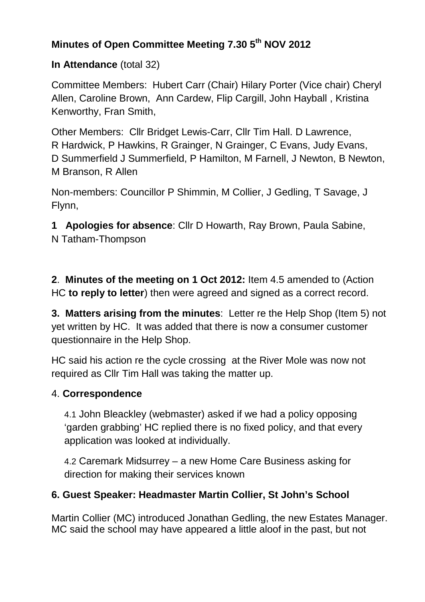# **Minutes of Open Committee Meeting 7.30 5th NOV 2012**

### **In Attendance** (total 32)

Committee Members: Hubert Carr (Chair) Hilary Porter (Vice chair) Cheryl Allen, Caroline Brown, Ann Cardew, Flip Cargill, John Hayball , Kristina Kenworthy, Fran Smith,

Other Members: Cllr Bridget Lewis-Carr, Cllr Tim Hall. D Lawrence, R Hardwick, P Hawkins, R Grainger, N Grainger, C Evans, Judy Evans, D Summerfield J Summerfield, P Hamilton, M Farnell, J Newton, B Newton, M Branson, R Allen

Non-members: Councillor P Shimmin, M Collier, J Gedling, T Savage, J Flynn,

**1 Apologies for absence**: Cllr D Howarth, Ray Brown, Paula Sabine, N Tatham-Thompson

**2**. **Minutes of the meeting on 1 Oct 2012:** Item 4.5 amended to (Action HC **to reply to letter**) then were agreed and signed as a correct record.

**3. Matters arising from the minutes**: Letter re the Help Shop (Item 5) not yet written by HC. It was added that there is now a consumer customer questionnaire in the Help Shop.

HC said his action re the cycle crossing at the River Mole was now not required as Cllr Tim Hall was taking the matter up.

### 4. **Correspondence**

4.1 John Bleackley (webmaster) asked if we had a policy opposing 'garden grabbing' HC replied there is no fixed policy, and that every application was looked at individually.

4.2 Caremark Midsurrey – a new Home Care Business asking for direction for making their services known

# **6. Guest Speaker: Headmaster Martin Collier, St John's School**

Martin Collier (MC) introduced Jonathan Gedling, the new Estates Manager. MC said the school may have appeared a little aloof in the past, but not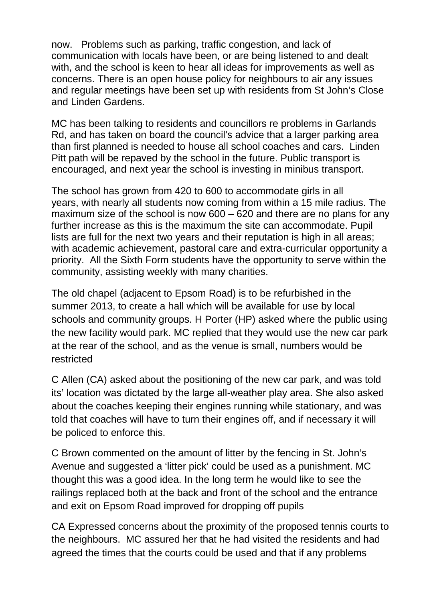now. Problems such as parking, traffic congestion, and lack of communication with locals have been, or are being listened to and dealt with, and the school is keen to hear all ideas for improvements as well as concerns. There is an open house policy for neighbours to air any issues and regular meetings have been set up with residents from St John's Close and Linden Gardens.

MC has been talking to residents and councillors re problems in Garlands Rd, and has taken on board the council's advice that a larger parking area than first planned is needed to house all school coaches and cars. Linden Pitt path will be repaved by the school in the future. Public transport is encouraged, and next year the school is investing in minibus transport.

The school has grown from 420 to 600 to accommodate girls in all years, with nearly all students now coming from within a 15 mile radius. The maximum size of the school is now 600 – 620 and there are no plans for any further increase as this is the maximum the site can accommodate. Pupil lists are full for the next two years and their reputation is high in all areas; with academic achievement, pastoral care and extra-curricular opportunity a priority. All the Sixth Form students have the opportunity to serve within the community, assisting weekly with many charities.

The old chapel (adjacent to Epsom Road) is to be refurbished in the summer 2013, to create a hall which will be available for use by local schools and community groups. H Porter (HP) asked where the public using the new facility would park. MC replied that they would use the new car park at the rear of the school, and as the venue is small, numbers would be restricted

C Allen (CA) asked about the positioning of the new car park, and was told its' location was dictated by the large all-weather play area. She also asked about the coaches keeping their engines running while stationary, and was told that coaches will have to turn their engines off, and if necessary it will be policed to enforce this.

C Brown commented on the amount of litter by the fencing in St. John's Avenue and suggested a 'litter pick' could be used as a punishment. MC thought this was a good idea. In the long term he would like to see the railings replaced both at the back and front of the school and the entrance and exit on Epsom Road improved for dropping off pupils

CA Expressed concerns about the proximity of the proposed tennis courts to the neighbours. MC assured her that he had visited the residents and had agreed the times that the courts could be used and that if any problems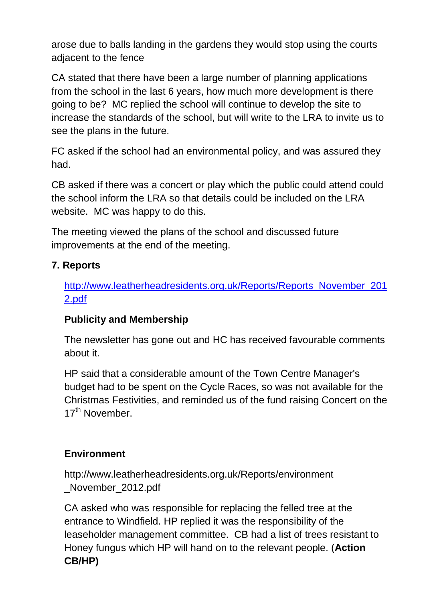arose due to balls landing in the gardens they would stop using the courts adjacent to the fence

CA stated that there have been a large number of planning applications from the school in the last 6 years, how much more development is there going to be? MC replied the school will continue to develop the site to increase the standards of the school, but will write to the LRA to invite us to see the plans in the future.

FC asked if the school had an environmental policy, and was assured they had.

CB asked if there was a concert or play which the public could attend could the school inform the LRA so that details could be included on the LRA website. MC was happy to do this.

The meeting viewed the plans of the school and discussed future improvements at the end of the meeting.

### **7. Reports**

http://www.leatherheadresidents.org.uk/Reports/Reports\_November\_201 2.pdf

# **Publicity and Membership**

The newsletter has gone out and HC has received favourable comments about it.

HP said that a considerable amount of the Town Centre Manager's budget had to be spent on the Cycle Races, so was not available for the Christmas Festivities, and reminded us of the fund raising Concert on the 17<sup>th</sup> November.

### **Environment**

http://www.leatherheadresidents.org.uk/Reports/environment \_November\_2012.pdf

CA asked who was responsible for replacing the felled tree at the entrance to Windfield. HP replied it was the responsibility of the leaseholder management committee. CB had a list of trees resistant to Honey fungus which HP will hand on to the relevant people. (**Action CB/HP)**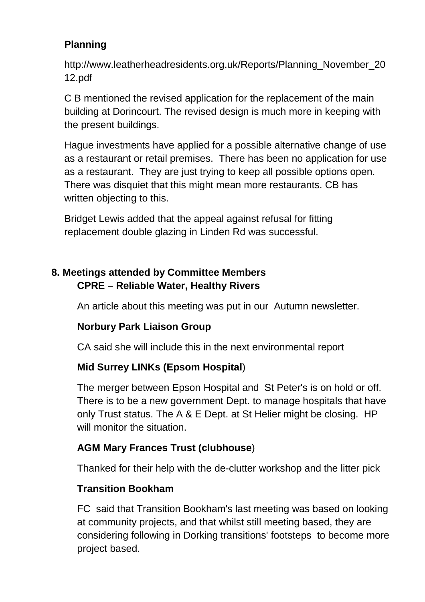# **Planning**

http://www.leatherheadresidents.org.uk/Reports/Planning\_November\_20 12.pdf

C B mentioned the revised application for the replacement of the main building at Dorincourt. The revised design is much more in keeping with the present buildings.

Hague investments have applied for a possible alternative change of use as a restaurant or retail premises. There has been no application for use as a restaurant. They are just trying to keep all possible options open. There was disquiet that this might mean more restaurants. CB has written objecting to this.

Bridget Lewis added that the appeal against refusal for fitting replacement double glazing in Linden Rd was successful.

# **8. Meetings attended by Committee Members CPRE – Reliable Water, Healthy Rivers**

An article about this meeting was put in our Autumn newsletter.

# **Norbury Park Liaison Group**

CA said she will include this in the next environmental report

# **Mid Surrey LINKs (Epsom Hospital**)

The merger between Epson Hospital and St Peter's is on hold or off. There is to be a new government Dept. to manage hospitals that have only Trust status. The A & E Dept. at St Helier might be closing. HP will monitor the situation.

# **AGM Mary Frances Trust (clubhouse**)

Thanked for their help with the de-clutter workshop and the litter pick

# **Transition Bookham**

FC said that Transition Bookham's last meeting was based on looking at community projects, and that whilst still meeting based, they are considering following in Dorking transitions' footsteps to become more project based.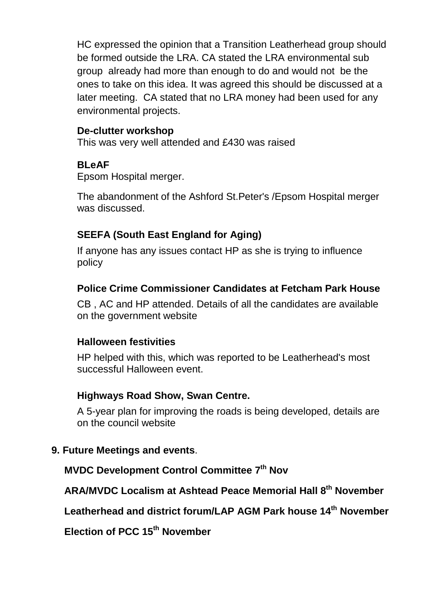HC expressed the opinion that a Transition Leatherhead group should be formed outside the LRA. CA stated the LRA environmental sub group already had more than enough to do and would not be the ones to take on this idea. It was agreed this should be discussed at a later meeting. CA stated that no LRA money had been used for any environmental projects.

#### **De-clutter workshop**

This was very well attended and £430 was raised

#### **BLeAF**

Epsom Hospital merger.

The abandonment of the Ashford St.Peter's /Epsom Hospital merger was discussed.

### **SEEFA (South East England for Aging)**

If anyone has any issues contact HP as she is trying to influence policy

#### **Police Crime Commissioner Candidates at Fetcham Park House**

CB , AC and HP attended. Details of all the candidates are available on the government website

#### **Halloween festivities**

HP helped with this, which was reported to be Leatherhead's most successful Halloween event.

### **Highways Road Show, Swan Centre.**

A 5-year plan for improving the roads is being developed, details are on the council website

#### **9. Future Meetings and events**.

**MVDC Development Control Committee 7th Nov**

**ARA/MVDC Localism at Ashtead Peace Memorial Hall 8th November** 

**Leatherhead and district forum/LAP AGM Park house 14 th November** 

**Election of PCC 15th November**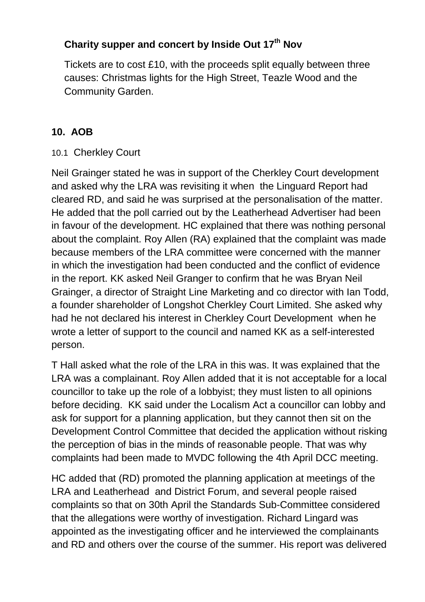# **Charity supper and concert by Inside Out 17th Nov**

Tickets are to cost £10, with the proceeds split equally between three causes: Christmas lights for the High Street, Teazle Wood and the Community Garden.

# **10. AOB**

### 10.1 Cherkley Court

Neil Grainger stated he was in support of the Cherkley Court development and asked why the LRA was revisiting it when the Linguard Report had cleared RD, and said he was surprised at the personalisation of the matter. He added that the poll carried out by the Leatherhead Advertiser had been in favour of the development. HC explained that there was nothing personal about the complaint. Roy Allen (RA) explained that the complaint was made because members of the LRA committee were concerned with the manner in which the investigation had been conducted and the conflict of evidence in the report. KK asked Neil Granger to confirm that he was Bryan Neil Grainger, a director of Straight Line Marketing and co director with Ian Todd, a founder shareholder of Longshot Cherkley Court Limited. She asked why had he not declared his interest in Cherkley Court Development when he wrote a letter of support to the council and named KK as a self-interested person.

T Hall asked what the role of the LRA in this was. It was explained that the LRA was a complainant. Roy Allen added that it is not acceptable for a local councillor to take up the role of a lobbyist; they must listen to all opinions before deciding. KK said under the Localism Act a councillor can lobby and ask for support for a planning application, but they cannot then sit on the Development Control Committee that decided the application without risking the perception of bias in the minds of reasonable people. That was why complaints had been made to MVDC following the 4th April DCC meeting.

HC added that (RD) promoted the planning application at meetings of the LRA and Leatherhead and District Forum, and several people raised complaints so that on 30th April the Standards Sub-Committee considered that the allegations were worthy of investigation. Richard Lingard was appointed as the investigating officer and he interviewed the complainants and RD and others over the course of the summer. His report was delivered